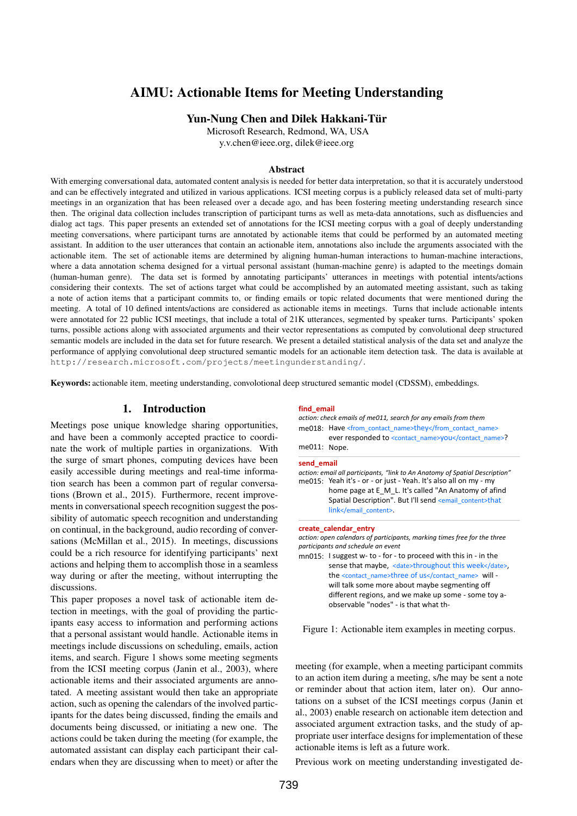# AIMU: Actionable Items for Meeting Understanding

### Yun-Nung Chen and Dilek Hakkani-Tür

Microsoft Research, Redmond, WA, USA y.v.chen@ieee.org, dilek@ieee.org

### Abstract

With emerging conversational data, automated content analysis is needed for better data interpretation, so that it is accurately understood and can be effectively integrated and utilized in various applications. ICSI meeting corpus is a publicly released data set of multi-party meetings in an organization that has been released over a decade ago, and has been fostering meeting understanding research since then. The original data collection includes transcription of participant turns as well as meta-data annotations, such as disfluencies and dialog act tags. This paper presents an extended set of annotations for the ICSI meeting corpus with a goal of deeply understanding meeting conversations, where participant turns are annotated by actionable items that could be performed by an automated meeting assistant. In addition to the user utterances that contain an actionable item, annotations also include the arguments associated with the actionable item. The set of actionable items are determined by aligning human-human interactions to human-machine interactions, where a data annotation schema designed for a virtual personal assistant (human-machine genre) is adapted to the meetings domain (human-human genre). The data set is formed by annotating participants' utterances in meetings with potential intents/actions considering their contexts. The set of actions target what could be accomplished by an automated meeting assistant, such as taking a note of action items that a participant commits to, or finding emails or topic related documents that were mentioned during the meeting. A total of 10 defined intents/actions are considered as actionable items in meetings. Turns that include actionable intents were annotated for 22 public ICSI meetings, that include a total of 21K utterances, segmented by speaker turns. Participants' spoken turns, possible actions along with associated arguments and their vector representations as computed by convolutional deep structured semantic models are included in the data set for future research. We present a detailed statistical analysis of the data set and analyze the performance of applying convolutional deep structured semantic models for an actionable item detection task. The data is available at http://research.microsoft.com/projects/meetingunderstanding/.

Keywords: actionable item, meeting understanding, convolotional deep structured semantic model (CDSSM), embeddings.

### 1. Introduction

Meetings pose unique knowledge sharing opportunities, and have been a commonly accepted practice to coordinate the work of multiple parties in organizations. With the surge of smart phones, computing devices have been easily accessible during meetings and real-time information search has been a common part of regular conversations (Brown et al., 2015). Furthermore, recent improvements in conversational speech recognition suggest the possibility of automatic speech recognition and understanding on continual, in the background, audio recording of conversations (McMillan et al., 2015). In meetings, discussions could be a rich resource for identifying participants' next actions and helping them to accomplish those in a seamless way during or after the meeting, without interrupting the discussions.

This paper proposes a novel task of actionable item detection in meetings, with the goal of providing the participants easy access to information and performing actions that a personal assistant would handle. Actionable items in meetings include discussions on scheduling, emails, action items, and search. Figure 1 shows some meeting segments from the ICSI meeting corpus (Janin et al., 2003), where actionable items and their associated arguments are annotated. A meeting assistant would then take an appropriate action, such as opening the calendars of the involved participants for the dates being discussed, finding the emails and documents being discussed, or initiating a new one. The actions could be taken during the meeting (for example, the automated assistant can display each participant their calendars when they are discussing when to meet) or after the

#### **find\_email**

|                                                                                                                                                                | action: check emails of me011, search for any emails from them |  |  |  |
|----------------------------------------------------------------------------------------------------------------------------------------------------------------|----------------------------------------------------------------|--|--|--|
|                                                                                                                                                                | me018: Have <from contact="" name="">they</from>               |  |  |  |
|                                                                                                                                                                | ever responded to <contact_name>you</contact_name> ?           |  |  |  |
| me011: Nope.                                                                                                                                                   |                                                                |  |  |  |
| send email<br>action: email all participants, "link to An Anatomy of Spatial Description"<br>$ma015: Ya2h$ it's - or - or just - Yaah It's also all on my - my |                                                                |  |  |  |

me015: Yeah it's - or - or just - Yeah. It's also all on my - my home page at E\_M\_L. It's called "An Anatomy of afind Spatial Description". But I'll send <email\_content>that link</email\_content>.

#### **create\_calendar\_entry**

*action: open calendars of participants, marking times free for the three participants and schedule an event*

mn015: I suggest w- to - for - to proceed with this in - in the sense that maybe, <date>throughout this week</date>, the <contact\_name>three of us</contact\_name> will will talk some more about maybe segmenting off different regions, and we make up some - some toy aobservable "nodes" - is that what th-

Figure 1: Actionable item examples in meeting corpus.

meeting (for example, when a meeting participant commits to an action item during a meeting, s/he may be sent a note or reminder about that action item, later on). Our annotations on a subset of the ICSI meetings corpus (Janin et al., 2003) enable research on actionable item detection and associated argument extraction tasks, and the study of appropriate user interface designs for implementation of these actionable items is left as a future work.

Previous work on meeting understanding investigated de-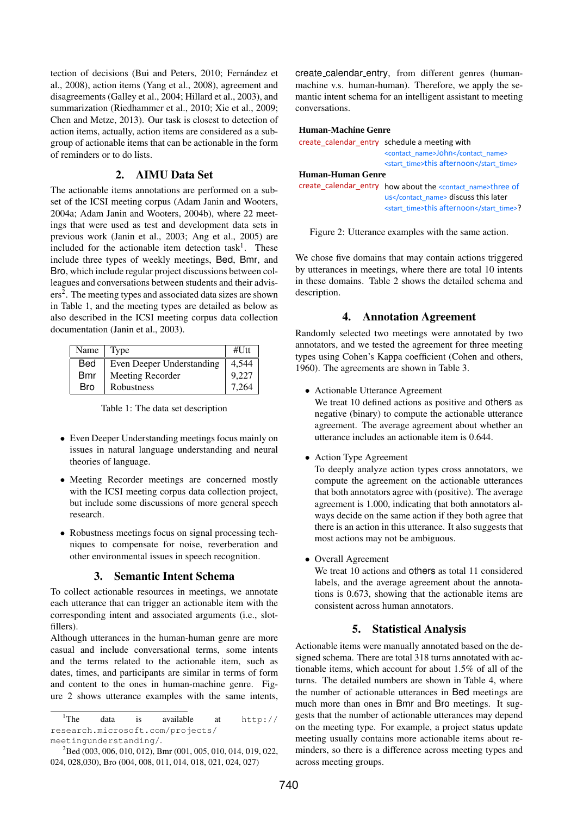tection of decisions (Bui and Peters, 2010; Fernández et al., 2008), action items (Yang et al., 2008), agreement and disagreements (Galley et al., 2004; Hillard et al., 2003), and summarization (Riedhammer et al., 2010; Xie et al., 2009; Chen and Metze, 2013). Our task is closest to detection of action items, actually, action items are considered as a subgroup of actionable items that can be actionable in the form of reminders or to do lists.

## 2. AIMU Data Set

The actionable items annotations are performed on a subset of the ICSI meeting corpus (Adam Janin and Wooters, 2004a; Adam Janin and Wooters, 2004b), where 22 meetings that were used as test and development data sets in previous work (Janin et al., 2003; Ang et al., 2005) are included for the actionable item detection task<sup>1</sup>. These include three types of weekly meetings, Bed, Bmr, and Bro, which include regular project discussions between colleagues and conversations between students and their advisers<sup>2</sup>. The meeting types and associated data sizes are shown in Table 1, and the meeting types are detailed as below as also described in the ICSI meeting corpus data collection documentation (Janin et al., 2003).

| Name $\vert$ Type |                           | $#$ Utt |
|-------------------|---------------------------|---------|
| Bed               | Even Deeper Understanding | 4.544   |
| Bmr               | Meeting Recorder          | 9.227   |
| Bro               | Robustness                | 7 264   |

Table 1: The data set description

- Even Deeper Understanding meetings focus mainly on issues in natural language understanding and neural theories of language.
- Meeting Recorder meetings are concerned mostly with the ICSI meeting corpus data collection project, but include some discussions of more general speech research.
- Robustness meetings focus on signal processing techniques to compensate for noise, reverberation and other environmental issues in speech recognition.

## 3. Semantic Intent Schema

To collect actionable resources in meetings, we annotate each utterance that can trigger an actionable item with the corresponding intent and associated arguments (i.e., slotfillers).

Although utterances in the human-human genre are more casual and include conversational terms, some intents and the terms related to the actionable item, such as dates, times, and participants are similar in terms of form and content to the ones in human-machine genre. Figure 2 shows utterance examples with the same intents,

create calendar entry, from different genres (humanmachine v.s. human-human). Therefore, we apply the semantic intent schema for an intelligent assistant to meeting conversations.

#### **Human-Machine Genre**

|                   | create calendar entry schedule a meeting with                             |  |  |
|-------------------|---------------------------------------------------------------------------|--|--|
|                   | <contact_name>John</contact_name>                                         |  |  |
|                   | <start time="">this afternoon</start>                                     |  |  |
| Human-Human Genre |                                                                           |  |  |
|                   | create_calendar_entry how about the <contact_name>three of</contact_name> |  |  |
|                   | us discuss this later                                                     |  |  |
|                   | <start time="">this afternoon</start> ?                                   |  |  |



We chose five domains that may contain actions triggered by utterances in meetings, where there are total 10 intents in these domains. Table 2 shows the detailed schema and description.

### 4. Annotation Agreement

Randomly selected two meetings were annotated by two annotators, and we tested the agreement for three meeting types using Cohen's Kappa coefficient (Cohen and others, 1960). The agreements are shown in Table 3.

• Actionable Utterance Agreement

We treat 10 defined actions as positive and others as negative (binary) to compute the actionable utterance agreement. The average agreement about whether an utterance includes an actionable item is 0.644.

• Action Type Agreement

To deeply analyze action types cross annotators, we compute the agreement on the actionable utterances that both annotators agree with (positive). The average agreement is 1.000, indicating that both annotators always decide on the same action if they both agree that there is an action in this utterance. It also suggests that most actions may not be ambiguous.

• Overall Agreement

We treat 10 actions and others as total 11 considered labels, and the average agreement about the annotations is 0.673, showing that the actionable items are consistent across human annotators.

### 5. Statistical Analysis

Actionable items were manually annotated based on the designed schema. There are total 318 turns annotated with actionable items, which account for about 1.5% of all of the turns. The detailed numbers are shown in Table 4, where the number of actionable utterances in Bed meetings are much more than ones in Bmr and Bro meetings. It suggests that the number of actionable utterances may depend on the meeting type. For example, a project status update meeting usually contains more actionable items about reminders, so there is a difference across meeting types and across meeting groups.

 $1$ The data is available at  $h \text{ttp://}$ research.microsoft.com/projects/ meetingunderstanding/.

 ${}^{2}$ Bed (003, 006, 010, 012), Bmr (001, 005, 010, 014, 019, 022, 024, 028,030), Bro (004, 008, 011, 014, 018, 021, 024, 027)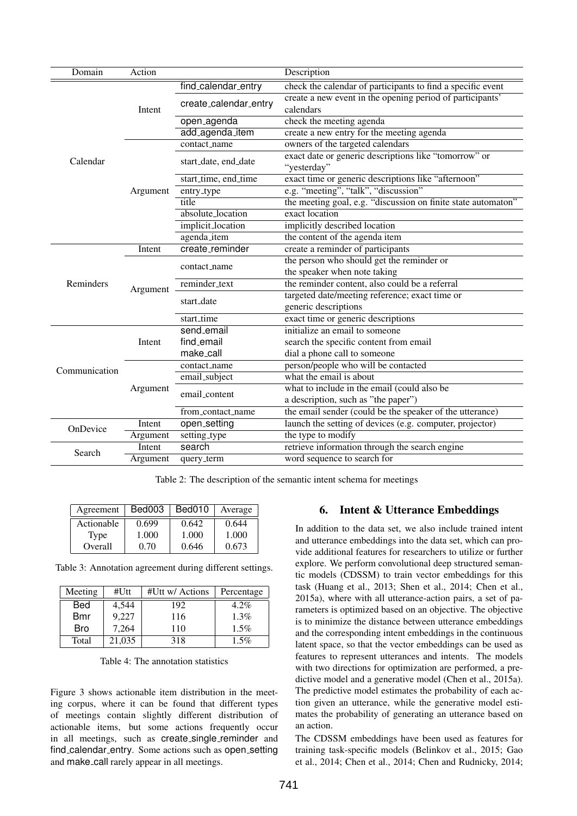| Domain        | Action   |                                                                                              | Description                                                            |  |
|---------------|----------|----------------------------------------------------------------------------------------------|------------------------------------------------------------------------|--|
|               |          | find_calendar_entry                                                                          | check the calendar of participants to find a specific event            |  |
|               | Intent   | create_calendar_entry                                                                        | create a new event in the opening period of participants'<br>calendars |  |
|               |          | open_agenda                                                                                  | check the meeting agenda                                               |  |
|               |          | add_agenda_item<br>create a new entry for the meeting agenda                                 |                                                                        |  |
|               |          | contact_name                                                                                 | owners of the targeted calendars                                       |  |
| Calendar      |          | exact date or generic descriptions like "tomorrow" or<br>start_date, end_date<br>"yesterday" |                                                                        |  |
|               |          | start_time, end_time                                                                         | exact time or generic descriptions like "afternoon"                    |  |
|               | Argument | entry_type                                                                                   | e.g. "meeting", "talk", "discussion"                                   |  |
|               |          | title                                                                                        | the meeting goal, e.g. "discussion on finite state automaton"          |  |
|               |          | absolute_location                                                                            | exact location                                                         |  |
|               |          | implicit_location                                                                            | implicitly described location                                          |  |
|               |          | agenda_item                                                                                  | the content of the agenda item                                         |  |
|               | Intent   | create_reminder                                                                              | create a reminder of participants                                      |  |
|               | Argument | contact_name                                                                                 | the person who should get the reminder or                              |  |
|               |          |                                                                                              | the speaker when note taking                                           |  |
| Reminders     |          | reminder_text                                                                                | the reminder content, also could be a referral                         |  |
|               |          | start_date                                                                                   | targeted date/meeting reference; exact time or                         |  |
|               |          |                                                                                              | generic descriptions                                                   |  |
|               |          | start_time                                                                                   | exact time or generic descriptions                                     |  |
|               | Intent   | send_email                                                                                   | initialize an email to someone                                         |  |
|               |          | find_email                                                                                   | search the specific content from email                                 |  |
|               |          | make_call                                                                                    | dial a phone call to someone                                           |  |
| Communication |          | contact_name                                                                                 | person/people who will be contacted                                    |  |
|               |          | email_subject                                                                                | what the email is about                                                |  |
|               | Argument | email_content                                                                                | what to include in the email (could also be                            |  |
|               |          |                                                                                              | a description, such as "the paper")                                    |  |
|               |          | from_contact_name                                                                            | the email sender (could be the speaker of the utterance)               |  |
| OnDevice      | Intent   | open_setting                                                                                 | launch the setting of devices (e.g. computer, projector)               |  |
|               | Argument | setting_type                                                                                 | the type to modify                                                     |  |
| Search        | Intent   | search                                                                                       | retrieve information through the search engine                         |  |
|               | Argument | query_term                                                                                   | word sequence to search for                                            |  |

Table 2: The description of the semantic intent schema for meetings

| Agreement  | Bed003 | Bed010 | Average |
|------------|--------|--------|---------|
| Actionable | 0.699  | 0.642  | 0.644   |
| Type       | 1.000  | 1.000  | 1.000   |
| Overall    | 0.70   | 0.646  | 0.673   |

Table 3: Annotation agreement during different settings.

| Meeting    | #Utt   | #Utt w/ Actions | Percentage |
|------------|--------|-----------------|------------|
| Bed        | 4,544  | 192             | $4.2\%$    |
| <b>Bmr</b> | 9,227  | 116             | 1.3%       |
| <b>Bro</b> | 7,264  | 110             | 1.5%       |
| Total      | 21,035 | 318             | $1.5\%$    |

Table 4: The annotation statistics

Figure 3 shows actionable item distribution in the meeting corpus, where it can be found that different types of meetings contain slightly different distribution of actionable items, but some actions frequently occur in all meetings, such as create single reminder and find\_calendar\_entry. Some actions such as open\_setting and make call rarely appear in all meetings.

## 6. Intent & Utterance Embeddings

In addition to the data set, we also include trained intent and utterance embeddings into the data set, which can provide additional features for researchers to utilize or further explore. We perform convolutional deep structured semantic models (CDSSM) to train vector embeddings for this task (Huang et al., 2013; Shen et al., 2014; Chen et al., 2015a), where with all utterance-action pairs, a set of parameters is optimized based on an objective. The objective is to minimize the distance between utterance embeddings and the corresponding intent embeddings in the continuous latent space, so that the vector embeddings can be used as features to represent utterances and intents. The models with two directions for optimization are performed, a predictive model and a generative model (Chen et al., 2015a). The predictive model estimates the probability of each action given an utterance, while the generative model estimates the probability of generating an utterance based on an action.

The CDSSM embeddings have been used as features for training task-specific models (Belinkov et al., 2015; Gao et al., 2014; Chen et al., 2014; Chen and Rudnicky, 2014;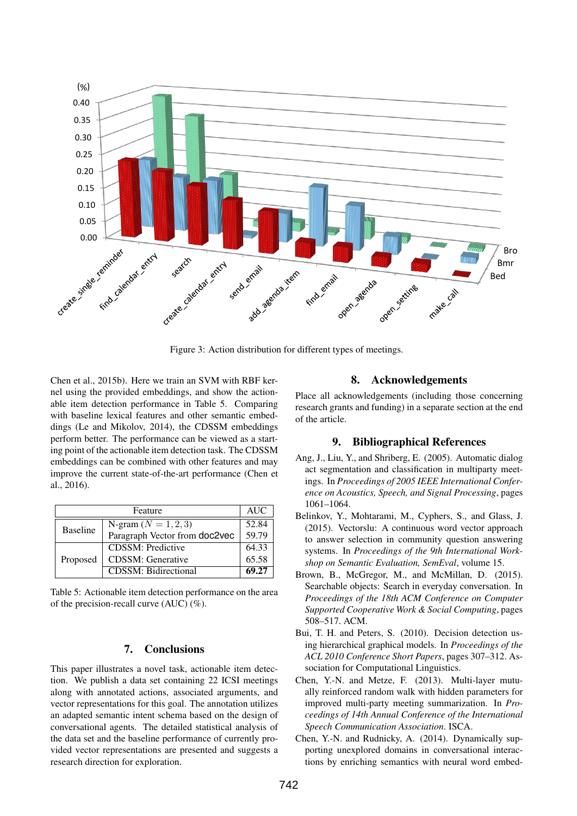

Figure 3: Action distribution for different types of meetings.

Chen et al., 2015b). Here we train an SVM with RBF kernel using the provided embeddings, and show the actionable item detection performance in Table 5. Comparing with baseline lexical features and other semantic embeddings (Le and Mikolov, 2014), the CDSSM embeddings perform better. The performance can be viewed as a starting point of the actionable item detection task. The CDSSM embeddings can be combined with other features and may improve the current state-of-the-art performance (Chen et al., 2016).

|                 | <b>AUC</b>                    |       |
|-----------------|-------------------------------|-------|
| <b>Baseline</b> | N-gram $(N = 1, 2, 3)$        | 52.84 |
|                 | Paragraph Vector from doc2vec | 59.79 |
| Proposed        | <b>CDSSM: Predictive</b>      | 64.33 |
|                 | <b>CDSSM:</b> Generative      | 65.58 |
|                 | <b>CDSSM: Bidirectional</b>   | 69.27 |

Table 5: Actionable item detection performance on the area of the precision-recall curve (AUC) (%).

### 7. Conclusions

This paper illustrates a novel task, actionable item detection. We publish a data set containing 22 ICSI meetings along with annotated actions, associated arguments, and vector representations for this goal. The annotation utilizes an adapted semantic intent schema based on the design of conversational agents. The detailed statistical analysis of the data set and the baseline performance of currently provided vector representations are presented and suggests a research direction for exploration.

### 8. Acknowledgements

Place all acknowledgements (including those concerning research grants and funding) in a separate section at the end of the article.

### 9. Bibliographical References

- Ang, J., Liu, Y., and Shriberg, E. (2005). Automatic dialog act segmentation and classification in multiparty meetings. In *Proceedings of 2005 IEEE International Conference on Acoustics, Speech, and Signal Processing*, pages 1061–1064.
- Belinkov, Y., Mohtarami, M., Cyphers, S., and Glass, J. (2015). Vectorslu: A continuous word vector approach to answer selection in community question answering systems. In *Proceedings of the 9th International Workshop on Semantic Evaluation, SemEval*, volume 15.
- Brown, B., McGregor, M., and McMillan, D. (2015). Searchable objects: Search in everyday conversation. In *Proceedings of the 18th ACM Conference on Computer Supported Cooperative Work & Social Computing*, pages 508–517. ACM.
- Bui, T. H. and Peters, S. (2010). Decision detection using hierarchical graphical models. In *Proceedings of the ACL 2010 Conference Short Papers*, pages 307–312. Association for Computational Linguistics.
- Chen, Y.-N. and Metze, F. (2013). Multi-layer mutually reinforced random walk with hidden parameters for improved multi-party meeting summarization. In *Proceedings of 14th Annual Conference of the International Speech Communication Association*. ISCA.
- Chen, Y.-N. and Rudnicky, A. (2014). Dynamically supporting unexplored domains in conversational interactions by enriching semantics with neural word embed-